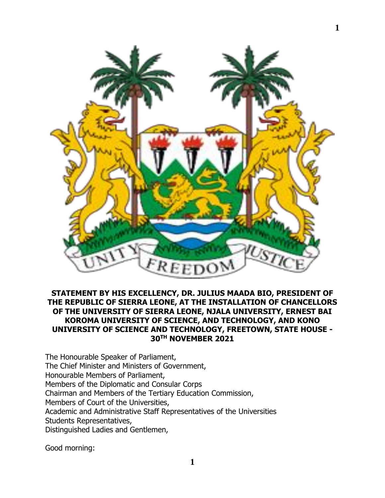

## **STATEMENT BY HIS EXCELLENCY, DR. JULIUS MAADA BIO, PRESIDENT OF THE REPUBLIC OF SIERRA LEONE, AT THE INSTALLATION OF CHANCELLORS OF THE UNIVERSITY OF SIERRA LEONE, NJALA UNIVERSITY, ERNEST BAI KOROMA UNIVERSITY OF SCIENCE, AND TECHNOLOGY, AND KONO UNIVERSITY OF SCIENCE AND TECHNOLOGY, FREETOWN, STATE HOUSE - 30TH NOVEMBER 2021**

The Honourable Speaker of Parliament, The Chief Minister and Ministers of Government, Honourable Members of Parliament, Members of the Diplomatic and Consular Corps Chairman and Members of the Tertiary Education Commission, Members of Court of the Universities, Academic and Administrative Staff Representatives of the Universities Students Representatives, Distinguished Ladies and Gentlemen,

Good morning: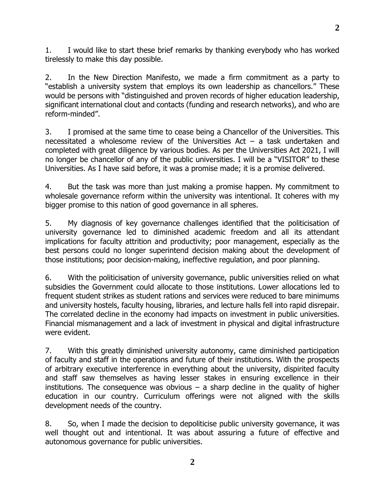1. I would like to start these brief remarks by thanking everybody who has worked tirelessly to make this day possible.

2. In the New Direction Manifesto, we made a firm commitment as a party to "establish a university system that employs its own leadership as chancellors." These would be persons with "distinguished and proven records of higher education leadership, significant international clout and contacts (funding and research networks), and who are reform-minded".

3. I promised at the same time to cease being a Chancellor of the Universities. This necessitated a wholesome review of the Universities Act – a task undertaken and completed with great diligence by various bodies. As per the Universities Act 2021, I will no longer be chancellor of any of the public universities. I will be a "VISITOR" to these Universities. As I have said before, it was a promise made; it is a promise delivered.

4. But the task was more than just making a promise happen. My commitment to wholesale governance reform within the university was intentional. It coheres with my bigger promise to this nation of good governance in all spheres.

5. My diagnosis of key governance challenges identified that the politicisation of university governance led to diminished academic freedom and all its attendant implications for faculty attrition and productivity; poor management, especially as the best persons could no longer superintend decision making about the development of those institutions; poor decision-making, ineffective regulation, and poor planning.

6. With the politicisation of university governance, public universities relied on what subsidies the Government could allocate to those institutions. Lower allocations led to frequent student strikes as student rations and services were reduced to bare minimums and university hostels, faculty housing, libraries, and lecture halls fell into rapid disrepair. The correlated decline in the economy had impacts on investment in public universities. Financial mismanagement and a lack of investment in physical and digital infrastructure were evident.

7. With this greatly diminished university autonomy, came diminished participation of faculty and staff in the operations and future of their institutions. With the prospects of arbitrary executive interference in everything about the university, dispirited faculty and staff saw themselves as having lesser stakes in ensuring excellence in their institutions. The consequence was obvious  $-$  a sharp decline in the quality of higher education in our country. Curriculum offerings were not aligned with the skills development needs of the country.

8. So, when I made the decision to depoliticise public university governance, it was well thought out and intentional. It was about assuring a future of effective and autonomous governance for public universities.

**2**